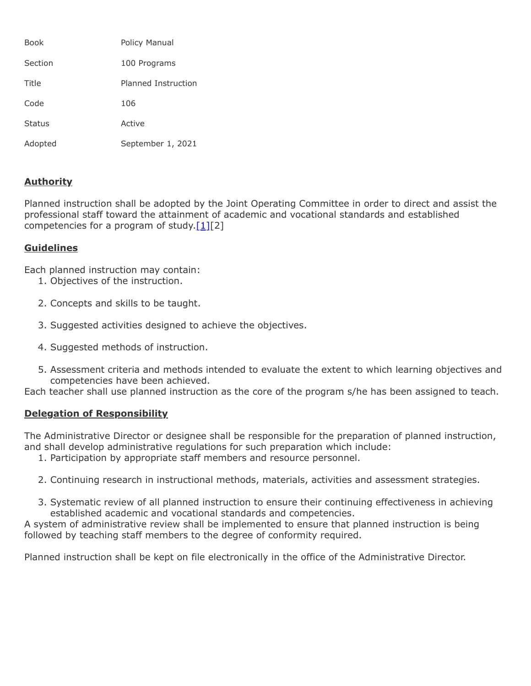| Book          | Policy Manual       |
|---------------|---------------------|
| Section       | 100 Programs        |
| Title         | Planned Instruction |
| Code          | 106                 |
| <b>Status</b> | Active              |
| Adopted       | September 1, 2021   |

## **Authority**

Planned instruction shall be adopted by the Joint Operating Committee in order to direct and assist the professional staff toward the attainment of academic and vocational standards and established competencies for a program of study. $[1][2]$ 

## **Guidelines**

Each planned instruction may contain:

- 1. Objectives of the instruction.
- 2. Concepts and skills to be taught.
- 3. Suggested activities designed to achieve the objectives.
- 4. Suggested methods of instruction.
- 5. Assessment criteria and methods intended to evaluate the extent to which learning objectives and competencies have been achieved.

Each teacher shall use planned instruction as the core of the program s/he has been assigned to teach.

## **Delegation of Responsibility**

The Administrative Director or designee shall be responsible for the preparation of planned instruction, and shall develop administrative regulations for such preparation which include:

- 1. Participation by appropriate staff members and resource personnel.
- 2. Continuing research in instructional methods, materials, activities and assessment strategies.
- 3. Systematic review of all planned instruction to ensure their continuing effectiveness in achieving established academic and vocational standards and competencies.

A system of administrative review shall be implemented to ensure that planned instruction is being followed by teaching staff members to the degree of conformity required.

Planned instruction shall be kept on file electronically in the office of the Administrative Director.